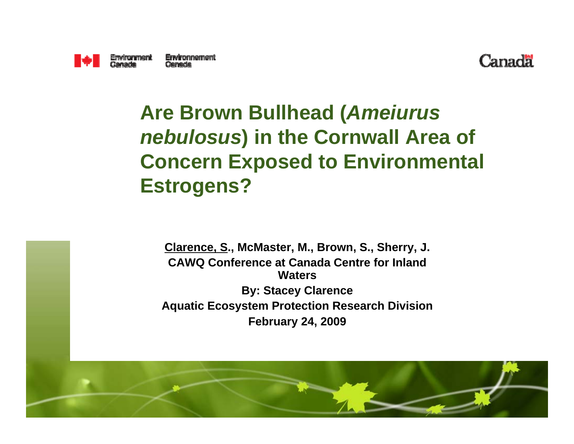



#### **Are Brown Bullhead (***Ameiurus nebulosus***) in the Cornwall Area of Concern Exposed to Environmental Estrogens?**

**Clarence, S., McMaster, M., Brown, S., Sherry, J. CAWQ Conference at Canada Centre for Inland WatersBy: Stacey Clarence Aquatic Ecosystem Protection Research Division February 24, 2009**

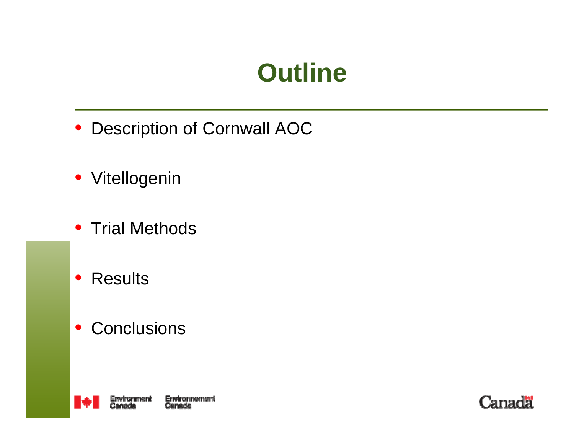#### **Outline**

- Description of Cornwall AOC
- Vitellogenin
- Trial Methods
- Results
- Conclusions



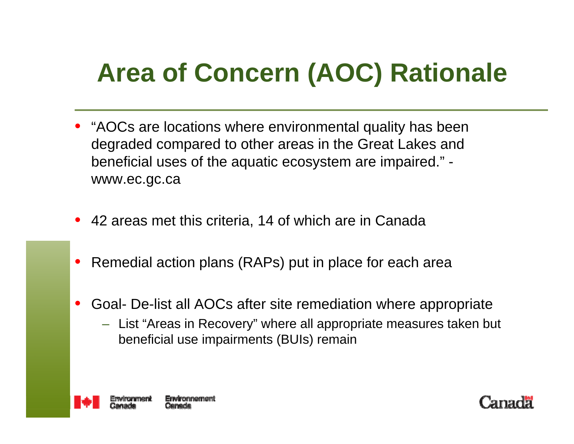# **Area of Concern (AOC) Rationale**

- "AOCs are locations where environmental quality has been degraded compared to other areas in the Great Lakes and beneficial uses of the aquatic ecosystem are impaired." www.ec.gc.ca
- 42 areas met this criteria, 14 of which are in Canada
- Remedial action plans (RAPs) put in place for each area
- Goal- De-list all AOCs after site remediation where appropriate
	- List "Areas in Recovery" where all appropriate measures taken but beneficial use impairments (BUIs) remain



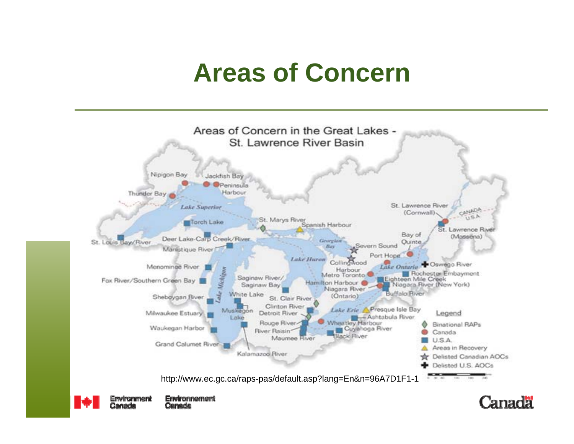#### **Areas of Concern**



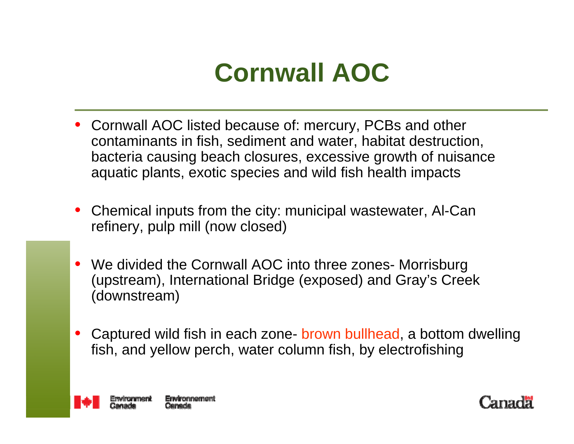#### **Cornwall AOC**

- Cornwall AOC listed because of: mercury, PCBs and other contaminants in fish, sediment and water, habitat destruction, bacteria causing beach closures, excessive growth of nuisance aquatic plants, exotic species and wild fish health impacts
- Chemical inputs from the city: municipal wastewater, Al-Can refinery, pulp mill (now closed)
- We divided the Cornwall AOC into three zones- Morrisburg (upstream), International Bridge (exposed) and Gray's Creek (downstream)
- Captured wild fish in each zone- brown bullhead, a bottom dwelling fish, and yellow perch, water column fish, by electrofishing



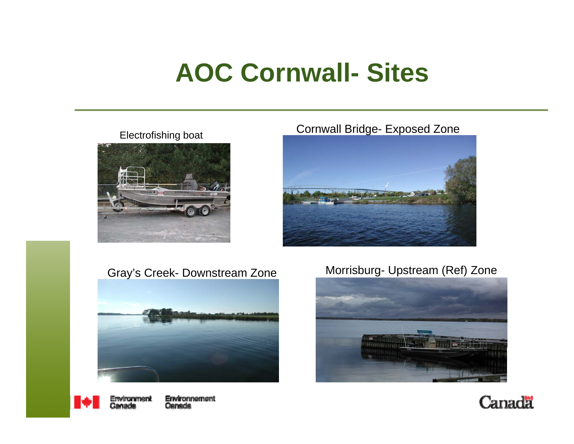#### **AOC Cornwall- Sites**

#### Electrofishing boat



#### Cornwall Bridge- Exposed Zone







#### Gray's Creek- Downstream Zone Morrisburg- Upstream (Ref) Zone



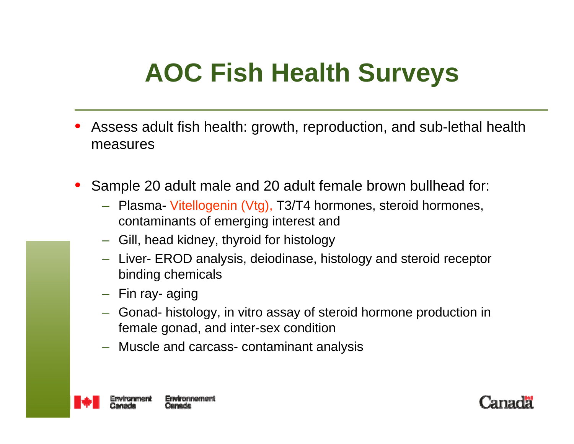# **AOC Fish Health Surveys**

- Assess adult fish health: growth, reproduction, and sub-lethal health measures
- Sample 20 adult male and 20 adult female brown bullhead for:
	- Plasma- Vitellogenin (Vtg), T3/T4 hormones, steroid hormones, contaminants of emerging interest and
	- Gill, head kidney, thyroid for histology
	- Liver- EROD analysis, deiodinase, histology and steroid receptor binding chemicals
	- Fin ray- aging
	- Gonad- histology, in vitro assay of steroid hormone production in female gonad, and inter-sex condition
	- Muscle and carcass- contaminant analysis



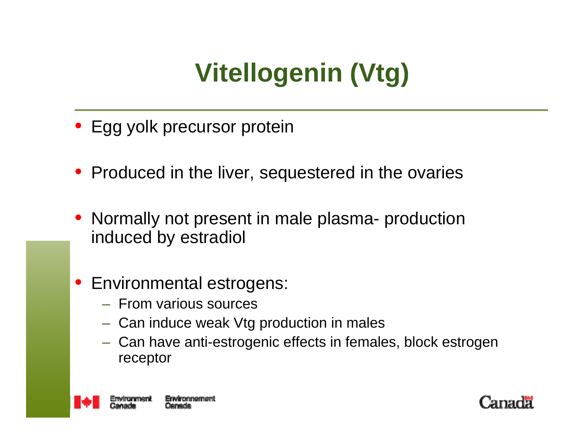# **Vitellogenin (Vtg)**

- Egg yolk precursor protein
- Produced in the liver, sequestered in the ovaries
- Normally not present in male plasma- production induced by estradiol
- Environmental estrogens:
	- From various sources
	- Can induce weak Vtg production in males
	- Can have anti-estrogenic effects in females, block estrogen receptor



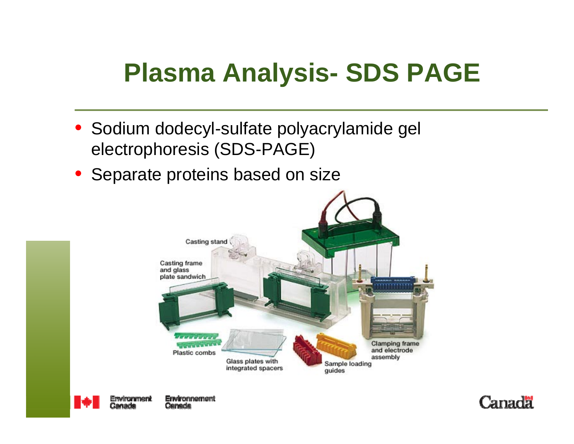#### **Plasma Analysis- SDS PAGE**

- Sodium dodecyl-sulfate polyacrylamide gel electrophoresis (SDS-PAGE)
- Separate proteins based on size





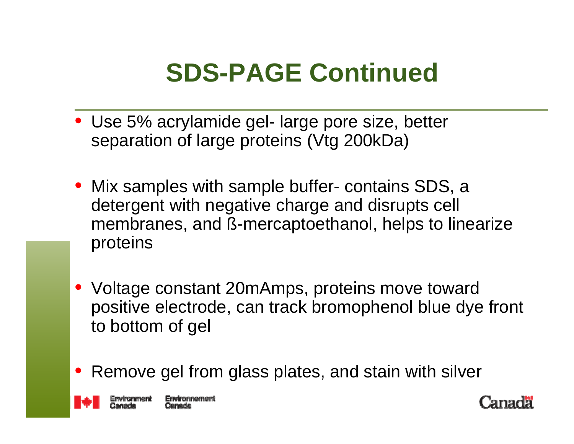#### **SDS-PAGE Continued**

- Use 5% acrylamide gel- large pore size, better separation of large proteins (Vtg 200kDa)
- Mix samples with sample buffer- contains SDS, a detergent with negative charge and disrupts cell membranes, and ß-mercaptoethanol, helps to linearize proteins
- Voltage constant 20mAmps, proteins move toward positive electrode, can track bromophenol blue dye front to bottom of gel
- Remove gel from glass plates, and stain with silver



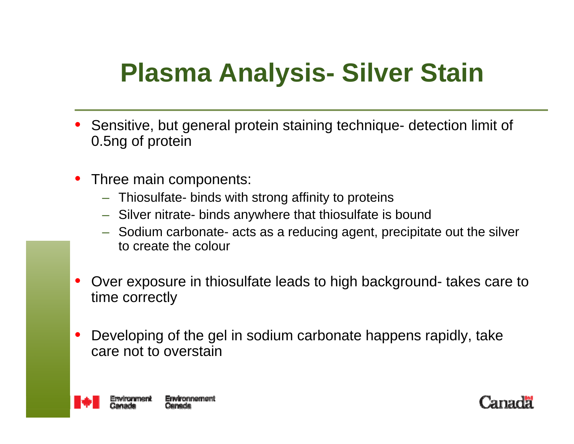## **Plasma Analysis- Silver Stain**

- Sensitive, but general protein staining technique- detection limit of 0.5ng of protein
- Three main components:
	- Thiosulfate- binds with strong affinity to proteins
	- Silver nitrate- binds anywhere that thiosulfate is bound
	- Sodium carbonate- acts as a reducing agent, precipitate out the silver to create the colour
- Over exposure in thiosulfate leads to high background- takes care to time correctly
- Developing of the gel in sodium carbonate happens rapidly, take care not to overstain



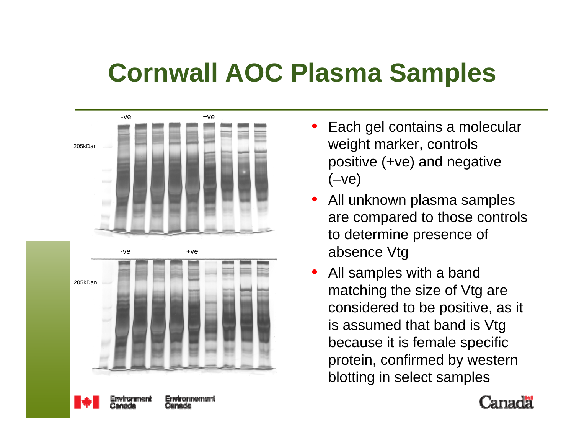### **Cornwall AOC Plasma Samples**





- Each gel contains a molecular weight marker, controls positive (+ve) and negative  $(-ve)$
- All unknown plasma samples are compared to those controls to determine presence of absence Vtg
- All samples with a band matching the size of Vtg are considered to be positive, as it is assumed that band is Vtg because it is female specific protein, confirmed by western blotting in select samples



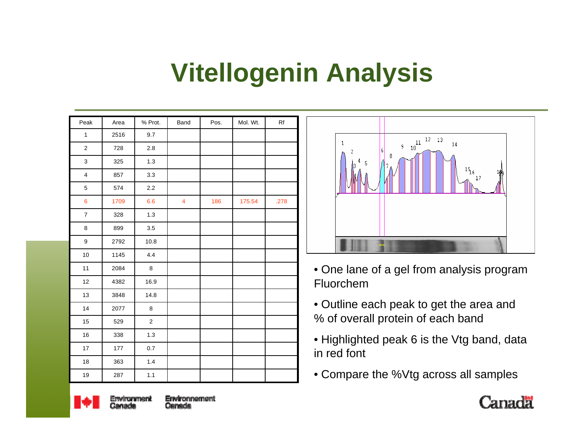### **Vitellogenin Analysis**

| Peak                    | Area | % Prot.     | Band           | Pos. | Mol. Wt. | Rf   |
|-------------------------|------|-------------|----------------|------|----------|------|
| $\mathbf{1}$            | 2516 | 9.7         |                |      |          |      |
| $\mathbf 2$             | 728  | 2.8         |                |      |          |      |
| 3                       | 325  | $1.3$       |                |      |          |      |
| $\overline{\mathbf{4}}$ | 857  | 3.3         |                |      |          |      |
| 5                       | 574  | $2.2\,$     |                |      |          |      |
| 6                       | 1709 | 6.6         | $\overline{4}$ | 186  | 175.54   | .278 |
| $\boldsymbol{7}$        | 328  | 1.3         |                |      |          |      |
| 8                       | 899  | 3.5         |                |      |          |      |
| $\boldsymbol{9}$        | 2792 | 10.8        |                |      |          |      |
| 10                      | 1145 | 4.4         |                |      |          |      |
| 11                      | 2084 | $\bf 8$     |                |      |          |      |
| 12                      | 4382 | 16.9        |                |      |          |      |
| 13                      | 3848 | 14.8        |                |      |          |      |
| 14                      | 2077 | 8           |                |      |          |      |
| 15                      | 529  | $\mathbf 2$ |                |      |          |      |
| 16                      | 338  | 1.3         |                |      |          |      |
| 17                      | 177  | 0.7         |                |      |          |      |
| 18                      | 363  | 1.4         |                |      |          |      |
| $19$                    | 287  | 1.1         |                |      |          |      |



- One lane of a gel from analysis program Fluorchem
- Outline each peak to get the area and % of overall protein of each band
- Highlighted peak 6 is the Vtg band, data in red font
- Compare the %Vtg across all samples



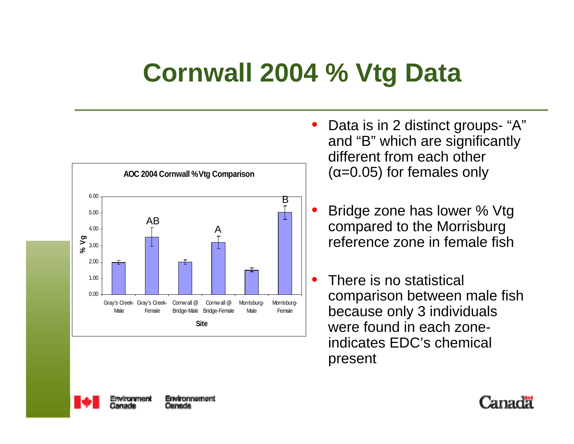### **Cornwall 2004 % Vtg Data**



- Data is in 2 distinct groups- "A" and "B" which are significantly different from each other  $(\alpha=0.05)$  for females only
- Bridge zone has lower % Vtg compared to the Morrisburg reference zone in female fish
- There is no statistical comparison between male fish because only 3 individuals were found in each zoneindicates EDC's chemical present



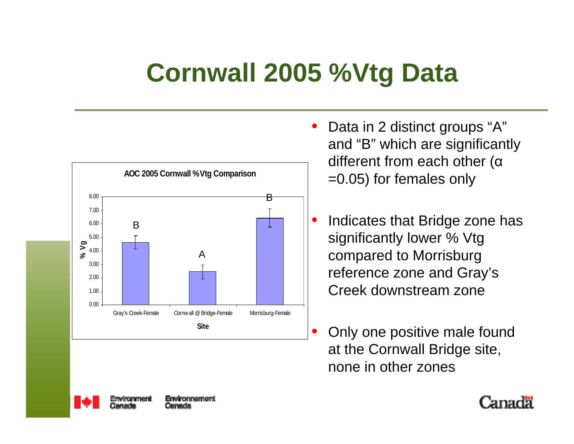# **Cornwall 2005 %Vtg Data**



- Data in 2 distinct groups "A" and "B" which are significantly different from each other (<sup>α</sup> =0.05) for females only
- Indicates that Bridge zone has significantly lower % Vtg compared to Morrisburg reference zone and Gray's Creek downstream zone
- Only one positive male found at the Cornwall Bridge site, none in other zones



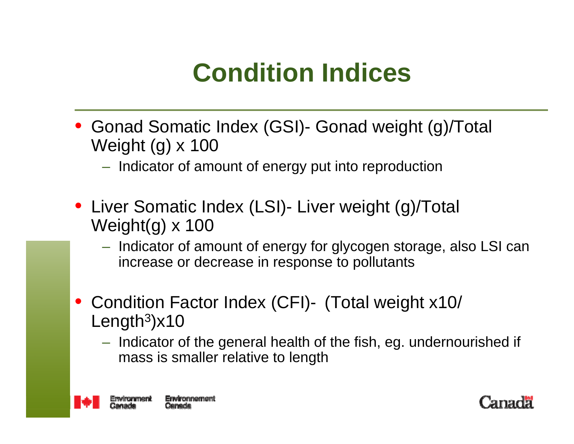### **Condition Indices**

• Gonad Somatic Index (GSI)- Gonad weight (g)/Total Weight (g) x 100

– Indicator of amount of energy put into reproduction

- Liver Somatic Index (LSI)- Liver weight (g)/Total Weight(g) x 100
	- Indicator of amount of energy for glycogen storage, also LSI can increase or decrease in response to pollutants
- Condition Factor Index (CFI)- (Total weight x10/ Length 3)x10
	- Indicator of the general health of the fish, eg. undernourished if mass is smaller relative to length



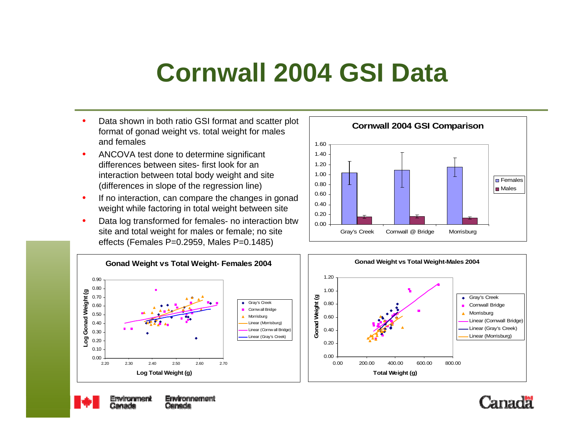#### **Cornwall 2004 GSI Data**

- Data shown in both ratio GSI format and scatter plot format of gonad weight vs. total weight for males and females
- ANCOVA test done to determine significant differences between sites- first look for an interaction between total body weight and site (differences in slope of the regression line)
- If no interaction, can compare the changes in gonad weight while factoring in total weight between site
- Data log transformed for females- no interaction btw site and total weight for males or female; no site effects (Females P=0.2959, Males P=0.1485)











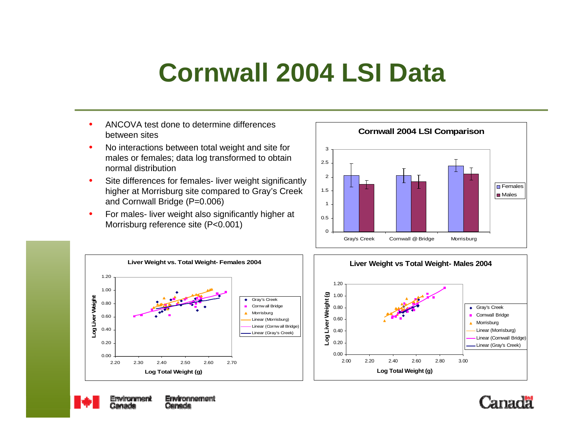#### **Cornwall 2004 LSI Data**

- ANCOVA test done to determine differences between sites
- No interactions between total weight and site for males or females; data log transformed to obtain normal distribution
- Site differences for females- liver weight significantly higher at Morrisburg site compared to Gray's Creek and Cornwall Bridge (P=0.006)
- For males-liver weight also significantly higher at Morrisburg reference site (P<0.001)









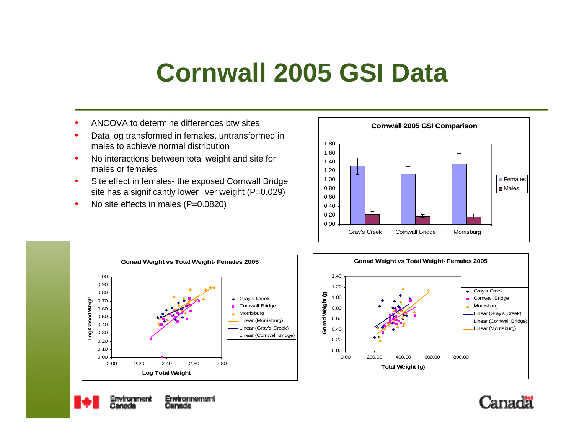#### **Cornwall 2005 GSI Data**

- ANCOVA to determine differences btw sites
- Data log transformed in females, untransformed in males to achieve normal distribution
- No interactions between total weight and site for males or females
- Site effect in females- the exposed Cornwall Bridge site has a significantly lower liver weight (P=0.029)
- No site effects in males (P=0.0820)









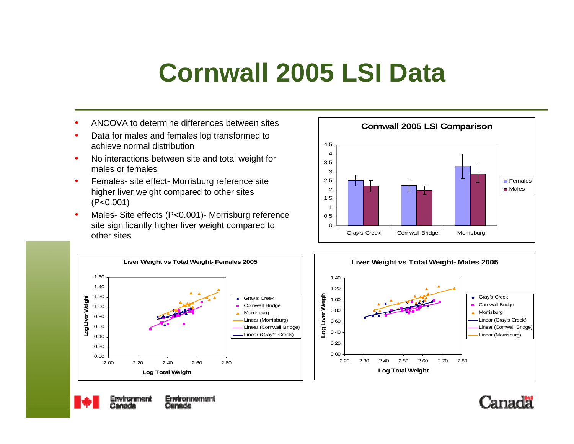#### **Cornwall 2005 LSI Data**

- ANCOVA to determine differences between sites
- Data for males and females log transformed to achieve normal distribution
- No interactions between site and total weight for males or females
- Females- site effect- Morrisburg reference site higher liver weight compared to other sites (P<0.001)
- Males- Site effects (P<0.001)- Morrisburg reference site significantly higher liver weight compared to other sites









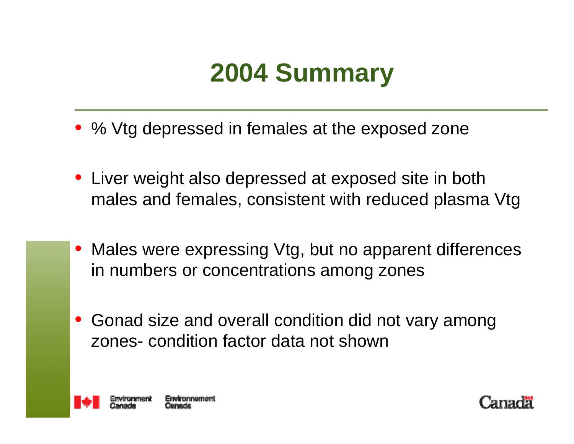

- % Vtg depressed in females at the exposed zone
- Liver weight also depressed at exposed site in both males and females, consistent with reduced plasma Vtg
- Males were expressing Vtg, but no apparent differences in numbers or concentrations among zones
- Gonad size and overall condition did not vary among zones- condition factor data not shown



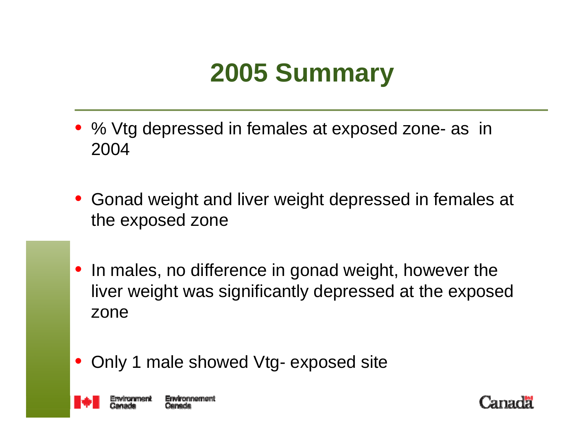#### **2005 Summary**

- % Vtg depressed in females at exposed zone- as in 2004
- Gonad weight and liver weight depressed in females at the exposed zone
- In males, no difference in gonad weight, however the liver weight was significantly depressed at the exposed zone
- Only 1 male showed Vtg- exposed site



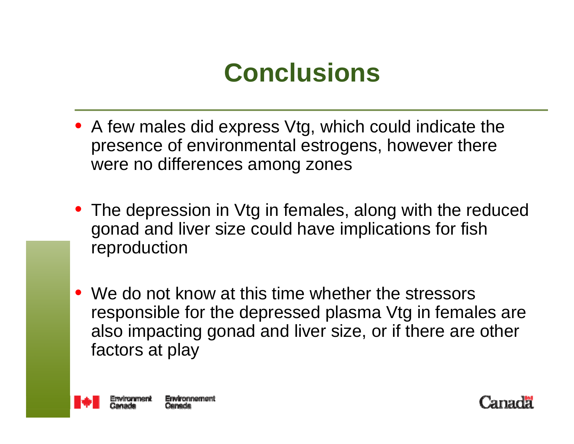### **Conclusions**

- A few males did express Vtg, which could indicate the presence of environmental estrogens, however there were no differences among zones
- The depression in Vtg in females, along with the reduced gonad and liver size could have implications for fish reproduction
- We do not know at this time whether the stressors responsible for the depressed plasma Vtg in females are also impacting gonad and liver size, or if there are other factors at play